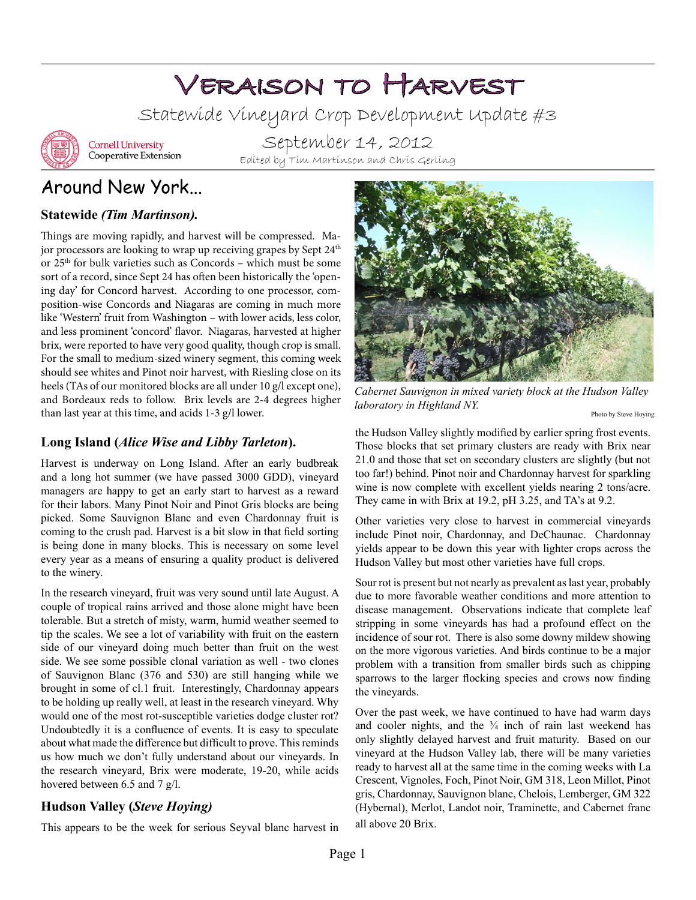# Veraison to Harvest

Statewide Vineyard Crop Development Update #3



**Cornell University** Cooperative Extension

September 14, 2012 Edited by Tim Martinson and Chris Gerling

# Around New York...

#### **Statewide** *(Tim Martinson).*

Things are moving rapidly, and harvest will be compressed. Major processors are looking to wrap up receiving grapes by Sept 24<sup>th</sup> or 25th for bulk varieties such as Concords – which must be some sort of a record, since Sept 24 has often been historically the 'opening day' for Concord harvest. According to one processor, composition-wise Concords and Niagaras are coming in much more like 'Western' fruit from Washington – with lower acids, less color, and less prominent 'concord' flavor. Niagaras, harvested at higher brix, were reported to have very good quality, though crop is small. For the small to medium-sized winery segment, this coming week should see whites and Pinot noir harvest, with Riesling close on its heels (TAs of our monitored blocks are all under 10 g/l except one), and Bordeaux reds to follow. Brix levels are 2-4 degrees higher than last year at this time, and acids 1-3 g/l lower.

#### **Long Island (***Alice Wise and Libby Tarleton***).**

Harvest is underway on Long Island. After an early budbreak and a long hot summer (we have passed 3000 GDD), vineyard managers are happy to get an early start to harvest as a reward for their labors. Many Pinot Noir and Pinot Gris blocks are being picked. Some Sauvignon Blanc and even Chardonnay fruit is coming to the crush pad. Harvest is a bit slow in that field sorting is being done in many blocks. This is necessary on some level every year as a means of ensuring a quality product is delivered to the winery.

In the research vineyard, fruit was very sound until late August. A couple of tropical rains arrived and those alone might have been tolerable. But a stretch of misty, warm, humid weather seemed to tip the scales. We see a lot of variability with fruit on the eastern side of our vineyard doing much better than fruit on the west side. We see some possible clonal variation as well - two clones of Sauvignon Blanc (376 and 530) are still hanging while we brought in some of cl.1 fruit. Interestingly, Chardonnay appears to be holding up really well, at least in the research vineyard. Why would one of the most rot-susceptible varieties dodge cluster rot? Undoubtedly it is a confluence of events. It is easy to speculate about what made the difference but difficult to prove. This reminds us how much we don't fully understand about our vineyards. In the research vineyard, Brix were moderate, 19-20, while acids hovered between 6.5 and 7 g/l.

#### **Hudson Valley (***Steve Hoying)*

This appears to be the week for serious Seyval blanc harvest in



*Cabernet Sauvignon in mixed variety block at the Hudson Valley laboratory in Highland NY.* 

Photo by Steve Hoying

the Hudson Valley slightly modified by earlier spring frost events. Those blocks that set primary clusters are ready with Brix near 21.0 and those that set on secondary clusters are slightly (but not too far!) behind. Pinot noir and Chardonnay harvest for sparkling wine is now complete with excellent yields nearing 2 tons/acre. They came in with Brix at 19.2, pH 3.25, and TA's at 9.2.

Other varieties very close to harvest in commercial vineyards include Pinot noir, Chardonnay, and DeChaunac. Chardonnay yields appear to be down this year with lighter crops across the Hudson Valley but most other varieties have full crops.

Sour rot is present but not nearly as prevalent as last year, probably due to more favorable weather conditions and more attention to disease management. Observations indicate that complete leaf stripping in some vineyards has had a profound effect on the incidence of sour rot. There is also some downy mildew showing on the more vigorous varieties. And birds continue to be a major problem with a transition from smaller birds such as chipping sparrows to the larger flocking species and crows now finding the vineyards.

Over the past week, we have continued to have had warm days and cooler nights, and the  $\frac{3}{4}$  inch of rain last weekend has only slightly delayed harvest and fruit maturity. Based on our vineyard at the Hudson Valley lab, there will be many varieties ready to harvest all at the same time in the coming weeks with La Crescent, Vignoles, Foch, Pinot Noir, GM 318, Leon Millot, Pinot gris, Chardonnay, Sauvignon blanc, Chelois, Lemberger, GM 322 (Hybernal), Merlot, Landot noir, Traminette, and Cabernet franc all above 20 Brix.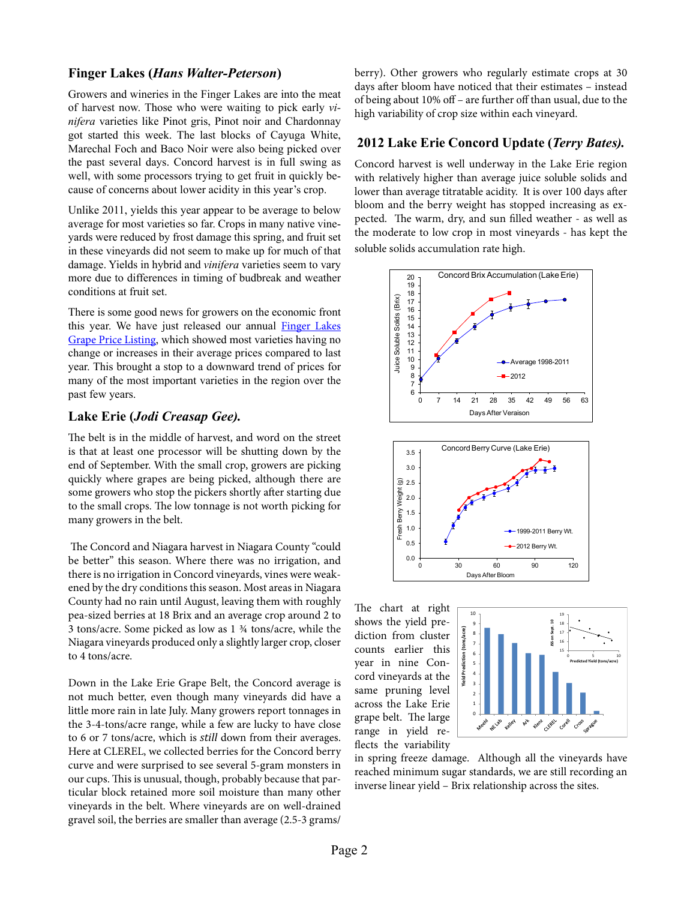#### **Finger Lakes (***Hans Walter-Peterson***)**

Growers and wineries in the Finger Lakes are into the meat of harvest now. Those who were waiting to pick early *vinifera* varieties like Pinot gris, Pinot noir and Chardonnay got started this week. The last blocks of Cayuga White, Marechal Foch and Baco Noir were also being picked over the past several days. Concord harvest is in full swing as well, with some processors trying to get fruit in quickly because of concerns about lower acidity in this year's crop.

Unlike 2011, yields this year appear to be average to below average for most varieties so far. Crops in many native vineyards were reduced by frost damage this spring, and fruit set in these vineyards did not seem to make up for much of that damage. Yields in hybrid and *vinifera* varieties seem to vary more due to differences in timing of budbreak and weather conditions at fruit set.

There is some good news for growers on the economic front this year. We have just released our annual [Finger Lakes](http://flg.cce.cornell.edu/files/2012/09/2012-FL-Grape-Prices-r2gkvr.pdf)  [Grape Price Listing](http://flg.cce.cornell.edu/files/2012/09/2012-FL-Grape-Prices-r2gkvr.pdf), which showed most varieties having no change or increases in their average prices compared to last year. This brought a stop to a downward trend of prices for many of the most important varieties in the region over the past few years.

#### **Lake Erie (***Jodi Creasap Gee).*

The belt is in the middle of harvest, and word on the street is that at least one processor will be shutting down by the end of September. With the small crop, growers are picking quickly where grapes are being picked, although there are some growers who stop the pickers shortly after starting due to the small crops. The low tonnage is not worth picking for many growers in the belt.

 The Concord and Niagara harvest in Niagara County "could be better" this season. Where there was no irrigation, and there is no irrigation in Concord vineyards, vines were weakened by the dry conditions this season. Most areas in Niagara County had no rain until August, leaving them with roughly pea-sized berries at 18 Brix and an average crop around 2 to 3 tons/acre. Some picked as low as 1 ¾ tons/acre, while the Niagara vineyards produced only a slightly larger crop, closer to 4 tons/acre.

Down in the Lake Erie Grape Belt, the Concord average is not much better, even though many vineyards did have a little more rain in late July. Many growers report tonnages in the 3-4-tons/acre range, while a few are lucky to have close to 6 or 7 tons/acre, which is *still* down from their averages. Here at CLEREL, we collected berries for the Concord berry curve and were surprised to see several 5-gram monsters in our cups. This is unusual, though, probably because that particular block retained more soil moisture than many other vineyards in the belt. Where vineyards are on well-drained gravel soil, the berries are smaller than average (2.5-3 grams/

berry). Other growers who regularly estimate crops at 30 days after bloom have noticed that their estimates – instead of being about 10% off – are further off than usual, due to the high variability of crop size within each vineyard.

#### **2012 Lake Erie Concord Update (***Terry Bates).*

Concord harvest is well underway in the Lake Erie region with relatively higher than average juice soluble solids and lower than average titratable acidity. It is over 100 days after bloom and the berry weight has stopped increasing as expected. The warm, dry, and sun filled weather - as well as the moderate to low crop in most vineyards - has kept the soluble solids accumulation rate high.



The chart at right shows the yield prediction from cluster counts earlier this year in nine Concord vineyards at the same pruning level across the Lake Erie grape belt. The large range in yield reflects the variability



in spring freeze damage. Although all the vineyards have reached minimum sugar standards, we are still recording an inverse linear yield – Brix relationship across the sites.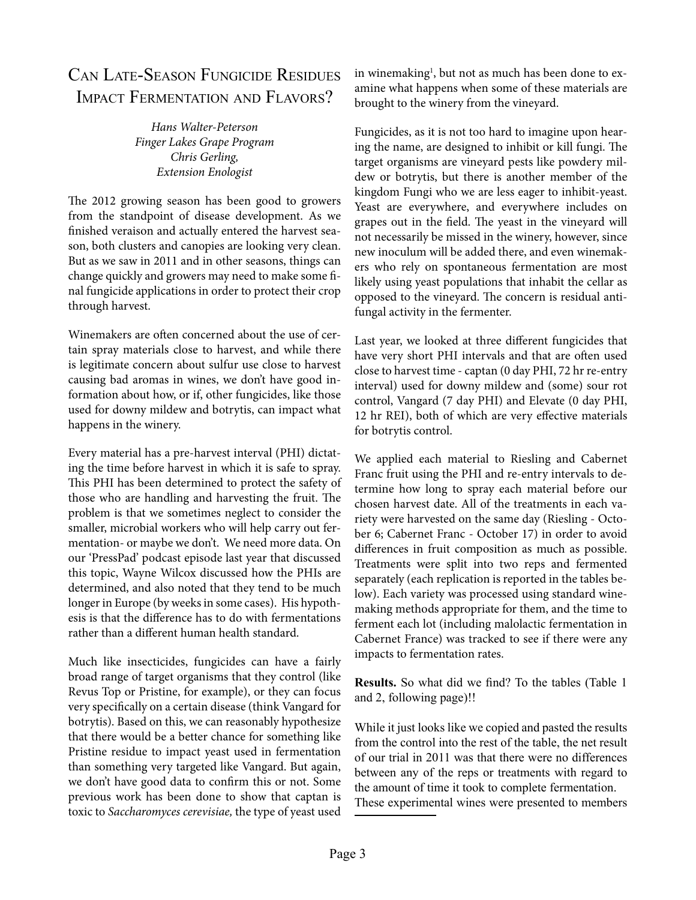# Can Late-Season Fungicide Residues Impact Fermentation and Flavors?

*Hans Walter-Peterson Finger Lakes Grape Program Chris Gerling, Extension Enologist*

The 2012 growing season has been good to growers from the standpoint of disease development. As we finished veraison and actually entered the harvest season, both clusters and canopies are looking very clean. But as we saw in 2011 and in other seasons, things can change quickly and growers may need to make some final fungicide applications in order to protect their crop through harvest.

Winemakers are often concerned about the use of certain spray materials close to harvest, and while there is legitimate concern about sulfur use close to harvest causing bad aromas in wines, we don't have good information about how, or if, other fungicides, like those used for downy mildew and botrytis, can impact what happens in the winery.

Every material has a pre-harvest interval (PHI) dictating the time before harvest in which it is safe to spray. This PHI has been determined to protect the safety of those who are handling and harvesting the fruit. The problem is that we sometimes neglect to consider the smaller, microbial workers who will help carry out fermentation- or maybe we don't. We need more data. On our ['PressPad' podcast episode last year that discussed](http://blogs.cornell.edu/presspad/2011/10/03/presspad-podcast-episode-1/)  [this topic,](http://blogs.cornell.edu/presspad/2011/10/03/presspad-podcast-episode-1/) Wayne Wilcox discussed how the PHIs are determined, and also noted that they tend to be much longer in Europe (by weeks in some cases). His hypothesis is that the difference has to do with fermentations rather than a different human health standard.

Much like insecticides, fungicides can have a fairly broad range of target organisms that they control (like Revus Top or Pristine, for example), or they can focus very specifically on a certain disease (think Vangard for botrytis). Based on this, we can reasonably hypothesize that there would be a better chance for something like Pristine residue to impact yeast used in fermentation than something very targeted like Vangard. But again, we don't have good data to confirm this or not. Some previous work has been done to show that captan is toxic to *Saccharomyces cerevisiae,* the type of yeast used

in winemaking<sup>1</sup>, but not as much has been done to examine what happens when some of these materials are brought to the winery from the vineyard.

Fungicides, as it is not too hard to imagine upon hearing the name, are designed to inhibit or kill fungi. The target organisms are vineyard pests like powdery mildew or botrytis, but there is another member of the kingdom Fungi who we are less eager to inhibit-yeast. Yeast are everywhere, and everywhere includes on grapes out in the field. The yeast in the vineyard will not necessarily be missed in the winery, however, since new inoculum will be added there, and even winemakers who rely on spontaneous fermentation are most likely using yeast populations that inhabit the cellar as opposed to the vineyard. The concern is residual antifungal activity in the fermenter.

Last year, we looked at three different fungicides that have very short PHI intervals and that are often used close to harvest time - captan (0 day PHI, 72 hr re-entry interval) used for downy mildew and (some) sour rot control, Vangard (7 day PHI) and Elevate (0 day PHI, 12 hr REI), both of which are very effective materials for botrytis control.

We applied each material to Riesling and Cabernet Franc fruit using the PHI and re-entry intervals to determine how long to spray each material before our chosen harvest date. All of the treatments in each variety were harvested on the same day (Riesling - October 6; Cabernet Franc - October 17) in order to avoid differences in fruit composition as much as possible. Treatments were split into two reps and fermented separately (each replication is reported in the tables below). Each variety was processed using standard winemaking methods appropriate for them, and the time to ferment each lot (including malolactic fermentation in Cabernet France) was tracked to see if there were any impacts to fermentation rates.

**Results.** So what did we find? To the tables (Table 1 and 2, following page)!!

While it just looks like we copied and pasted the results from the control into the rest of the table, the net result of our trial in 2011 was that there were no differences between any of the reps or treatments with regard to the amount of time it took to complete fermentation.

These experimental wines were presented to members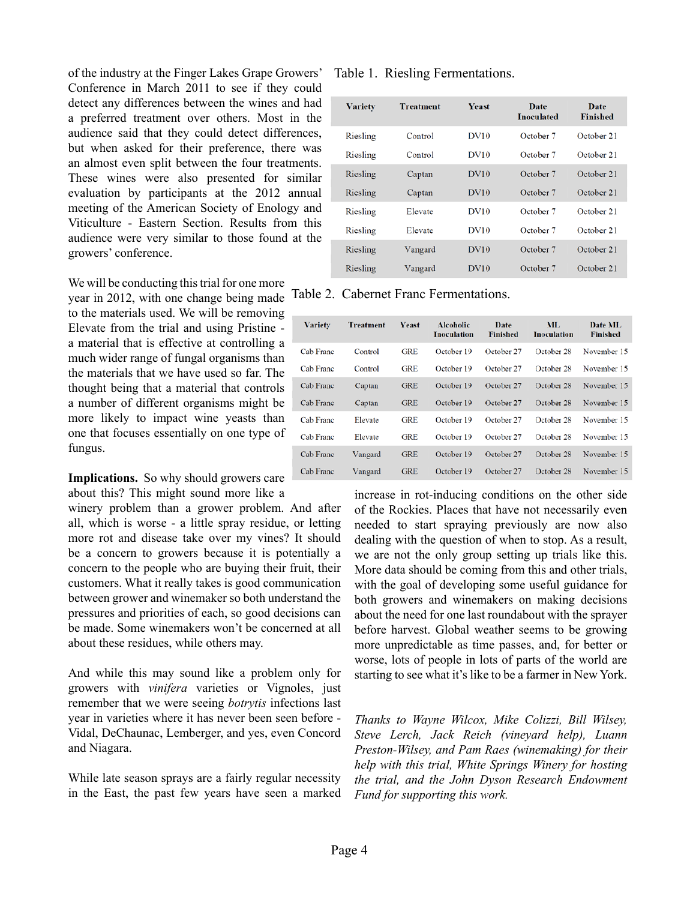of the industry at the Finger Lakes Grape Growers' Conference in March 2011 to see if they could detect any differences between the wines and had a preferred treatment over others. Most in the audience said that they could detect differences, but when asked for their preference, there was an almost even split between the four treatments. These wines were also presented for similar evaluation by participants at the 2012 annual meeting of the American Society of Enology and Viticulture - Eastern Section. Results from this audience were very similar to those found at the growers' conference.

We will be conducting this trial for one more

year in 2012, with one change being made to the materials used. We will be removing Elevate from the trial and using Pristine a material that is effective at controlling a much wider range of fungal organisms than the materials that we have used so far. The thought being that a material that controls a number of different organisms might be more likely to impact wine yeasts than one that focuses essentially on one type of fungus.

Implications. So why should growers care about this? This might sound more like a

winery problem than a grower problem. And after all, which is worse - a little spray residue, or letting more rot and disease take over my vines? It should be a concern to growers because it is potentially a concern to the people who are buying their fruit, their customers. What it really takes is good communication between grower and winemaker so both understand the pressures and priorities of each, so good decisions can be made. Some winemakers won't be concerned at all about these residues, while others may.

And while this may sound like a problem only for growers with *vinifera* varieties or Vignoles, just remember that we were seeing *botrytis* infections last year in varieties where it has never been seen before - Vidal, DeChaunac, Lemberger, and yes, even Concord and Niagara.

While late season sprays are a fairly regular necessity in the East, the past few years have seen a marked

Table 1. Riesling Fermentations.

| <b>Variety</b> | <b>Treatment</b> | <b>Yeast</b>     | Date<br><b>Inoculated</b> | Date<br><b>Finished</b> |
|----------------|------------------|------------------|---------------------------|-------------------------|
| Riesling       | Control          | <b>DV10</b>      | October 7                 | October 21              |
| Riesling       | Control          | DV10             | October 7                 | October 21              |
| Riesling       | Captan           | DV10             | October 7                 | October 21              |
| Riesling       | Captan           | DV10             | October 7                 | October 21              |
| Riesling       | Elevate          | <b>DV10</b>      | October 7                 | October 21              |
| Riesling       | Elevate          | DV10             | October 7                 | October 21              |
| Riesling       | Vangard          | DV10             | October 7                 | October 21              |
| Riesling       | Vangard          | DV <sub>10</sub> | October 7                 | October 21              |
|                |                  |                  |                           |                         |

Table 2. Cabernet Franc Fermentations.

| <b>Variety</b> | <b>Treatment</b> | <b>Yeast</b> | <b>Alcoholic</b><br><b>Inoculation</b> | Date<br><b>Finished</b> | ML<br><b>Inoculation</b> | Date ML<br><b>Finished</b> |
|----------------|------------------|--------------|----------------------------------------|-------------------------|--------------------------|----------------------------|
| Cab Franc      | Control          | <b>GRE</b>   | October 19                             | October 27              | October 28               | November 15                |
| Cab Franc      | Control          | <b>GRE</b>   | October 19                             | October 27              | October 28               | November 15                |
| Cab Franc      | Captan           | <b>GRE</b>   | October 19                             | October 27              | October 28               | November 15                |
| Cab Franc      | Captan           | <b>GRE</b>   | October 19                             | October 27              | October 28               | November 15                |
| Cab Franc      | Elevate          | <b>GRE</b>   | October 19                             | October 27              | October 28               | November 15                |
| Cab Franc      | Elevate          | <b>GRE</b>   | October 19                             | October 27              | October 28               | November 15                |
| Cab Franc      | Vangard          | <b>GRE</b>   | October 19                             | October 27              | October 28               | November 15                |
| Cab Franc      | Vangard          | <b>GRE</b>   | October 19                             | October 27              | October 28               | November 15                |

increase in rot-inducing conditions on the other side of the Rockies. Places that have not necessarily even needed to start spraying previously are now also dealing with the question of when to stop. As a result, we are not the only group setting up trials like this. More data should be coming from this and other trials, with the goal of developing some useful guidance for both growers and winemakers on making decisions about the need for one last roundabout with the sprayer before harvest. Global weather seems to be growing more unpredictable as time passes, and, for better or worse, lots of people in lots of parts of the world are starting to see what it's like to be a farmer in New York.

*Thanks to Wayne Wilcox, Mike Colizzi, Bill Wilsey, Steve Lerch, Jack Reich (vineyard help), Luann Preston-Wilsey, and Pam Raes (winemaking) for their help with this trial, White Springs Winery for hosting the trial, and the John Dyson Research Endowment Fund for supporting this work.*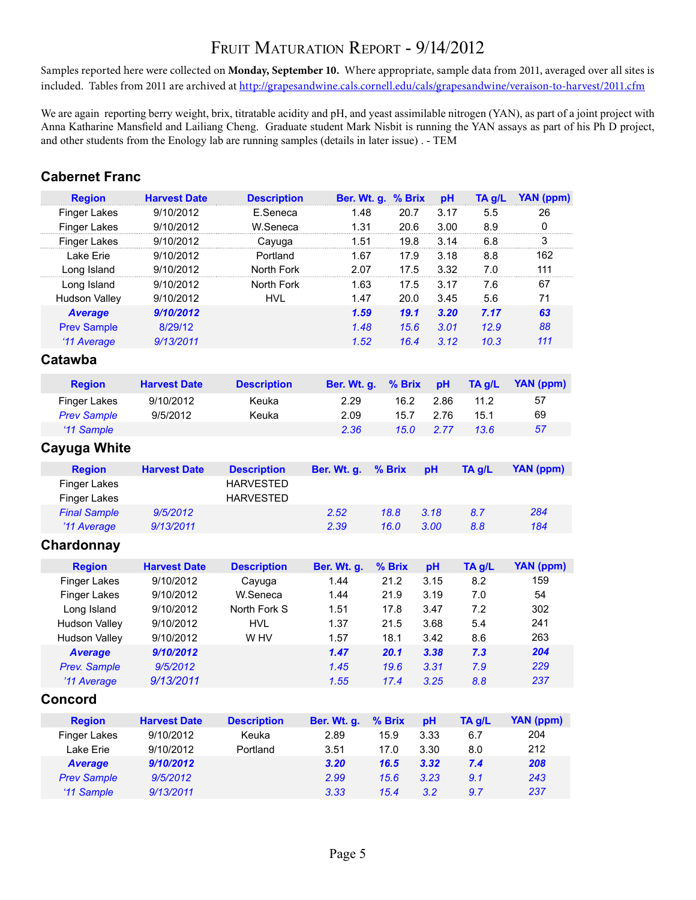# FRUIT MATURATION REPORT - 9/14/2012

Samples reported here were collected on **Monday, September 10.** Where appropriate, sample data from 2011, averaged over all sites is included. Tables from 2011 are archived at <http://grapesandwine.cals.cornell.edu/cals/grapesandwine/veraison-to-harvest/2011.cfm>

We are again reporting berry weight, brix, titratable acidity and pH, and yeast assimilable nitrogen (YAN), as part of a joint project with Anna Katharine Mansfield and Lailiang Cheng. Graduate student Mark Nisbit is running the YAN assays as part of his Ph D project, and other students from the Enology lab are running samples (details in later issue) . - TEM

#### **Cabernet Franc Region Harvest Date Description Ber. Wt. g. % Brix pH TA g/L YAN (ppm)** Finger Lakes 9/10/2012 E.Seneca 1.48 20.7 3.17 5.5 26 Finger Lakes 9/10/2012 W.Seneca 1.31 20.6 3.00 8.9 0 Finger Lakes 9/10/2012 Cayuga 1.51 19.8 3.14 6.8 3 Lake Erie 9/10/2012 Portland 1.67 17.9 3.18 8.8 162 Long Island 9/10/2012 North Fork 2.07 17.5 3.32 7.0 111 Long Island 9/10/2012 North Fork 1.63 17.5 3.17 7.6 67 Hudson Valley 9/10/2012 HVL 1.47 20.0 3.45 5.6 71 *Average 9/10/2012 1.59 19.1 3.20 7.17 63* Prev Sample 8/29/12 *1.48 15.6 3.01 12.9 88 '11 Average 9/13/2011 1.52 16.4 3.12 10.3 111* **Catawba Region Harvest Date Description Ber. Wt. g. % Brix pH TA g/L YAN (ppm)** Finger Lakes 9/10/2012 Keuka 2.29 16.2 2.86 11.2 57 *Prev Sample* 9/5/2012 Keuka 2.09 15.7 2.76 15.1 69 *'11 Sample 2.36 15.0 2.77 13.6 57* **Cayuga White Region Harvest Date Description Ber. Wt. g. % Brix pH TA g/L YAN (ppm)** Finger Lakes HARVESTED Finger Lakes HARVESTED *Final Sample 9/5/2012 2.52 18.8 3.18 8.7 284 '11 Average 9/13/2011 2.39 16.0 3.00 8.8 184* **Chardonnay Region Harvest Date Description Ber. Wt. g. % Brix pH TA g/L YAN (ppm)** Finger Lakes 9/10/2012 Cayuga 1.44 21.2 3.15 8.2 159 Finger Lakes 9/10/2012 W.Seneca 1.44 21.9 3.19 7.0 54 Long Island 9/10/2012 North Fork S 1.51 17.8 3.47 7.2 302 Hudson Valley 9/10/2012 HVL 1.37 21.5 3.68 5.4 241 Hudson Valley 9/10/2012 W HV 1.57 18.1 3.42 8.6 263 *Average 9/10/2012 1.47 20.1 3.38 7.3 204 Prev. Sample 9/5/2012 1.45 19.6 3.31 7.9 229 '11 Average 9/13/2011 1.55 17.4 3.25 8.8 237* **Concord Region Harvest Date Description Ber. Wt. g. % Brix pH TA g/L YAN (ppm)** Finger Lakes 9/10/2012 Keuka 2.89 15.9 3.33 6.7 204 Lake Erie 9/10/2012 Portland 3.51 17.0 3.30 8.0 212 *Average 9/10/2012 3.20 16.5 3.32 7.4 208*

*Prev Sample 9/5/2012 2.99 15.6 3.23 9.1 243 '11 Sample 9/13/2011 3.33 15.4 3.2 9.7 237*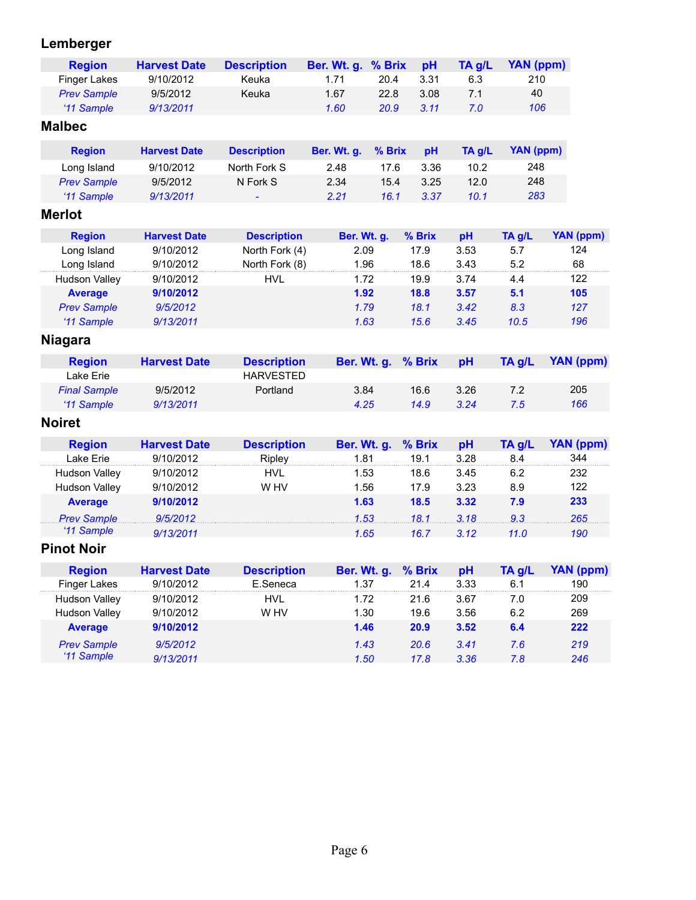# **Lemberger**

| <b>Region</b>        | <b>Harvest Date</b> | <b>Description</b> | Ber. Wt. g. | % Brix | pH     | TA g/L | <b>YAN (ppm)</b> |                  |
|----------------------|---------------------|--------------------|-------------|--------|--------|--------|------------------|------------------|
| <b>Finger Lakes</b>  | 9/10/2012           | Keuka              | 1.71        | 20.4   | 3.31   | 6.3    | 210              |                  |
| <b>Prev Sample</b>   | 9/5/2012            | Keuka              | 1.67        | 22.8   | 3.08   | 7.1    | 40               |                  |
| '11 Sample           | 9/13/2011           |                    | 1.60        | 20.9   | 3.11   | 7.0    | 106              |                  |
| <b>Malbec</b>        |                     |                    |             |        |        |        |                  |                  |
| <b>Region</b>        | <b>Harvest Date</b> | <b>Description</b> | Ber. Wt. g. | % Brix | pH     | TA g/L | <b>YAN (ppm)</b> |                  |
| Long Island          | 9/10/2012           | North Fork S       | 2.48        | 17.6   | 3.36   | 10.2   | 248              |                  |
| <b>Prev Sample</b>   | 9/5/2012            | N Fork S           | 2.34        | 15.4   | 3.25   | 12.0   | 248              |                  |
| '11 Sample           | 9/13/2011           |                    | 2.21        | 16.1   | 3.37   | 10.1   | 283              |                  |
| <b>Merlot</b>        |                     |                    |             |        |        |        |                  |                  |
| <b>Region</b>        | <b>Harvest Date</b> | <b>Description</b> | Ber. Wt. g. |        | % Brix | pH     | TA g/L           | <b>YAN (ppm)</b> |
| Long Island          | 9/10/2012           | North Fork (4)     | 2.09        |        | 17.9   | 3.53   | 5.7              | 124              |
| Long Island          | 9/10/2012           | North Fork (8)     | 1.96        |        | 18.6   | 3.43   | 5.2              | 68               |
| <b>Hudson Valley</b> | 9/10/2012           | <b>HVL</b>         | 1.72        |        | 19.9   | 3.74   | 4.4              | 122              |
| <b>Average</b>       | 9/10/2012           |                    | 1.92        |        | 18.8   | 3.57   | 5.1              | 105              |
| <b>Prev Sample</b>   | 9/5/2012            |                    | 1.79        |        | 18.1   | 3.42   | 8.3              | 127              |
| '11 Sample           | 9/13/2011           |                    | 1.63        |        | 15.6   | 3.45   | 10.5             | 196              |
| <b>Niagara</b>       |                     |                    |             |        |        |        |                  |                  |
| <b>Region</b>        | <b>Harvest Date</b> | <b>Description</b> | Ber. Wt. g. |        | % Brix | pH     | TA g/L           | <b>YAN (ppm)</b> |
| Lake Erie            |                     | <b>HARVESTED</b>   |             |        |        |        |                  |                  |
| <b>Final Sample</b>  | 9/5/2012            | Portland           | 3.84        |        | 16.6   | 3.26   | 7.2              | 205              |
| '11 Sample           | 9/13/2011           |                    | 4.25        |        | 14.9   | 3.24   | 7.5              | 166              |
| <b>Noiret</b>        |                     |                    |             |        |        |        |                  |                  |
| <b>Region</b>        | <b>Harvest Date</b> | <b>Description</b> | Ber. Wt. g. |        | % Brix | pH     | TA g/L           | <b>YAN (ppm)</b> |
| Lake Erie            | 9/10/2012           | Ripley             | 1.81        |        | 19.1   | 3.28   | 8.4              | 344              |
| <b>Hudson Valley</b> | 9/10/2012           | <b>HVL</b>         | 1.53        |        | 18.6   | 3.45   | 6.2              | 232              |
| <b>Hudson Valley</b> | 9/10/2012           | W HV               | 1.56        |        | 17.9   | 3.23   | 8.9              | 122              |
| <b>Average</b>       | 9/10/2012           |                    | 1.63        |        | 18.5   | 3.32   | 7.9              | 233              |
| <b>Prev Sample</b>   | 9/5/2012            |                    | 1.53        |        | 18.1   | 3.18   | 9.3              | 265              |
| '11 Sample           | 9/13/2011           |                    | 1.65        |        | 16.7   | 3.12   | 11.0             | 190              |
| <b>Pinot Noir</b>    |                     |                    |             |        |        |        |                  |                  |
| <b>Region</b>        | <b>Harvest Date</b> | <b>Description</b> | Ber. Wt. g. |        | % Brix | pH     | TA g/L           | <b>YAN (ppm)</b> |
| Finger Lakes         | 9/10/2012           | E.Seneca           | 1.37        |        | 21.4   | 3.33   | 6.1              | 190              |
| <b>Hudson Valley</b> | 9/10/2012           | <b>HVL</b>         | 1.72        |        | 21.6   | 3.67   | 7.0              | 209              |
| <b>Hudson Valley</b> | 9/10/2012           | W HV               | 1.30        |        | 19.6   | 3.56   | 6.2              | 269              |
| <b>Average</b>       | 9/10/2012           |                    | 1.46        |        | 20.9   | 3.52   | 6.4              | 222              |
| <b>Prev Sample</b>   | 9/5/2012            |                    | 1.43        |        | 20.6   | 3.41   | 7.6              | 219              |
| '11 Sample           | 9/13/2011           |                    | 1.50        |        | 17.8   | 3.36   | 7.8              | 246              |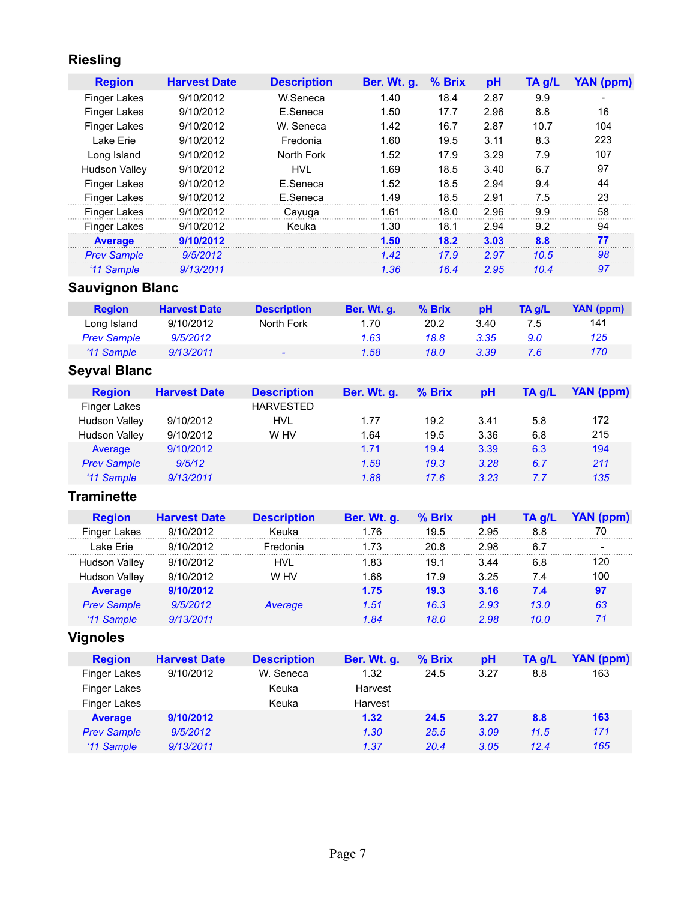# **Riesling**

| <b>Region</b>        | <b>Harvest Date</b> | <b>Description</b> | <b>Ber. Wt. g.</b> | % Brix | pH   | TA q/L | YAN (ppm) |
|----------------------|---------------------|--------------------|--------------------|--------|------|--------|-----------|
| Finger Lakes         | 9/10/2012           | W.Seneca           | 1.40               | 18.4   | 2.87 | 9.9    |           |
| <b>Finger Lakes</b>  | 9/10/2012           | E.Seneca           | 1.50               | 17.7   | 2.96 | 8.8    | 16        |
| <b>Finger Lakes</b>  | 9/10/2012           | W. Seneca          | 1.42               | 16.7   | 2.87 | 10.7   | 104       |
| Lake Frie            | 9/10/2012           | Fredonia           | 1.60               | 19.5   | 3.11 | 8.3    | 223       |
| Long Island          | 9/10/2012           | North Fork         | 1.52               | 17.9   | 3.29 | 7.9    | 107       |
| <b>Hudson Valley</b> | 9/10/2012           | <b>HVL</b>         | 1.69               | 18.5   | 3.40 | 6.7    | 97        |
| <b>Finger Lakes</b>  | 9/10/2012           | E.Seneca           | 1.52               | 18.5   | 2.94 | 9.4    | 44        |
| <b>Finger Lakes</b>  | 9/10/2012           | E.Seneca           | .49                | 18.5   | 2.91 | 7.5    | 23        |
| <b>Finger Lakes</b>  | 9/10/2012           | Cayuga             | 1.61               | 18.0   | 2.96 | 9.9    | 58        |
| <b>Finger Lakes</b>  | 9/10/2012           | Keuka              | 1.30               | 18.1   | 2.94 | 9.2    | 94        |
| <b>Average</b>       | 9/10/2012           |                    | 1.50               | 18.2   | 3.03 | 8.8    | 77        |
| <b>Prev Sample</b>   | 9/5/2012            |                    | 1.42               | 17.9   | 2.97 | 10.5   | 98        |
| '11 Sample           | 9/13/2011           |                    | 1.36               | 16.4   | 2.95 | 10.4   | 97        |

# **Sauvignon Blanc**

| <b>Region</b>      | <b>Harvest Date</b> | <b>Description</b>       | Ber. Wt. q. | $%$ Brix | <b>pH</b> | TA a/L | YAN (ppm) |
|--------------------|---------------------|--------------------------|-------------|----------|-----------|--------|-----------|
| Long Island        | 9/10/2012           | North Fork               | 1.70        | 20.2     | 3.40      | 7.5    | 141       |
| <b>Prev Sample</b> | 9/5/2012            |                          | 1.63        | 18.8     | 3.35      | 9.0    | 125       |
| '11 Sample         | 9/13/2011           | $\overline{\phantom{0}}$ | 1.58        | 18.0     | 3.39      | 7.6    | 170       |

# **Seyval Blanc**

| <b>Region</b>        | <b>Harvest Date</b> | <b>Description</b> | Ber. Wt. g. | % Brix | рH   | $TA$ g/L | YAN (ppm) |
|----------------------|---------------------|--------------------|-------------|--------|------|----------|-----------|
| Finger Lakes         |                     | <b>HARVESTED</b>   |             |        |      |          |           |
| Hudson Valley        | 9/10/2012           | HVL                | 1.77        | 19.2   | 3.41 | 5.8      | 172       |
| <b>Hudson Valley</b> | 9/10/2012           | W HV               | 1.64        | 19.5   | 3.36 | 6.8      | 215       |
| Average              | 9/10/2012           |                    | 1.71        | 19.4   | 3.39 | 6.3      | 194       |
| <b>Prev Sample</b>   | 9/5/12              |                    | 1.59        | 19.3   | 3.28 | 6.7      | 211       |
| '11 Sample           | 9/13/2011           |                    | 1.88        | 17.6   | 3.23 | 7.7      | 135       |

### **Traminette**

| <b>Region</b>        | <b>Harvest Date</b> | <b>Description</b> | Ber. Wt. g. | $%$ Brix | <b>pH</b> | TA a/L | YAN (ppm)                |
|----------------------|---------------------|--------------------|-------------|----------|-----------|--------|--------------------------|
| <b>Finger Lakes</b>  | 9/10/2012           | Keuka              | 1 76        | 19.5     | 2.95      | 8.8    | 70                       |
| I ake Frie           | 9/10/2012           | Fredonia           | 1 73        | 20 B     | 2.98      | 6.7    | $\overline{\phantom{0}}$ |
| <b>Hudson Valley</b> | 9/10/2012           | HVI                | 1.83        | 19.1     | 3.44      | 6.8    | 120                      |
| <b>Hudson Valley</b> | 9/10/2012           | W HV               | 1.68        | 17.9     | 3.25      | 7.4    | 100                      |
| <b>Average</b>       | 9/10/2012           |                    | 1.75        | 19.3     | 3.16      | 7.4    | 97                       |
| <b>Prev Sample</b>   | 9/5/2012            | Average            | 1.51        | 16.3     | 2.93      | 13.0   | 63                       |
| '11 Sample           | 9/13/2011           |                    | 1 84        | 18.0     | 2.98      | 10.0   | 71                       |

# **Vignoles**

| <b>Region</b>       | <b>Harvest Date</b> | <b>Description</b> | <b>Ber. Wt. g.</b> | % Brix | рH   | TA g/L | YAN (ppm) |
|---------------------|---------------------|--------------------|--------------------|--------|------|--------|-----------|
| Finger Lakes        | 9/10/2012           | W. Seneca          | 1.32               | 24.5   | 3.27 | 8.8    | 163       |
| <b>Finger Lakes</b> |                     | Keuka              | Harvest            |        |      |        |           |
| Finger Lakes        |                     | Keuka              | Harvest            |        |      |        |           |
| <b>Average</b>      | 9/10/2012           |                    | 1.32               | 24.5   | 3.27 | 8.8    | 163       |
| <b>Prev Sample</b>  | 9/5/2012            |                    | 1.30               | 25.5   | 3.09 | 11.5   | 171       |
| '11 Sample          | 9/13/2011           |                    | 1.37               | 20.4   | 3.05 | 12.4   | 165       |